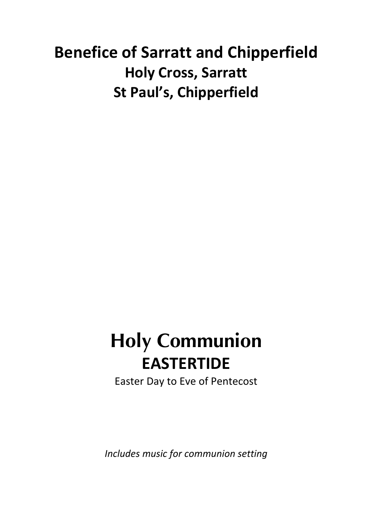# **Benefice of Sarratt and Chipperfield Holy Cross, Sarratt St Paul's, Chipperfield**

# **Holy Communion EASTERTIDE**

Easter Day to Eve of Pentecost

*Includes music for communion setting*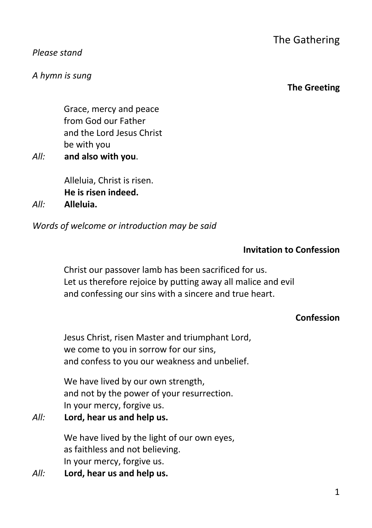#### *Please stand*

*A hymn is sung*

#### **The Greeting**

Grace, mercy and peace from God our Father and the Lord Jesus Christ be with you

*All:* **and also with you**.

Alleluia, Christ is risen. **He is risen indeed.**  *All:* **Alleluia.**

*Words of welcome or introduction may be said*

### **Invitation to Confession**

Christ our passover lamb has been sacrificed for us. Let us therefore rejoice by putting away all malice and evil and confessing our sins with a sincere and true heart.

### **Confession**

Jesus Christ, risen Master and triumphant Lord, we come to you in sorrow for our sins, and confess to you our weakness and unbelief.

We have lived by our own strength. and not by the power of your resurrection. In your mercy, forgive us.

*All:* **Lord, hear us and help us.**

We have lived by the light of our own eyes, as faithless and not believing. In your mercy, forgive us.

*All:* **Lord, hear us and help us.**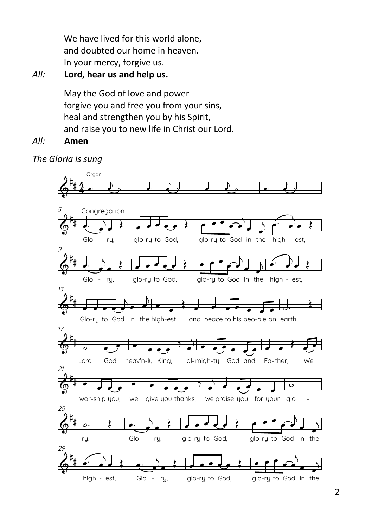We have lived for this world alone, and doubted our home in heaven. In your mercy, forgive us.

*All:* **Lord, hear us and help us.**

May the God of love and power forgive you and free you from your sins, heal and strengthen you by his Spirit, and raise you to new life in Christ our Lord.

*All:* **Amen**

*The Gloria is sung*

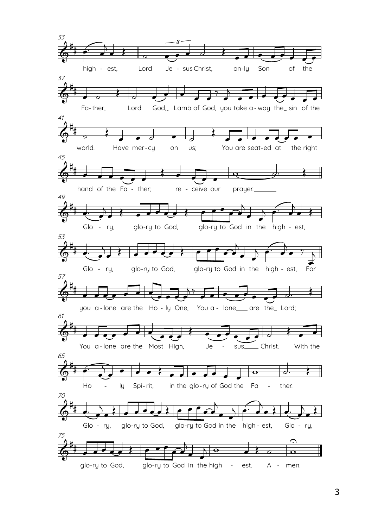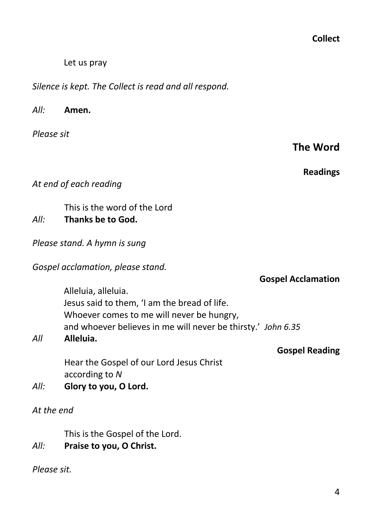**Collect**

Let us pray

*Silence is kept. The Collect is read and all respond.*

*All:* **Amen.** 

*Please sit*

**Readings**

*At end of each reading*

This is the word of the Lord

# *All:* **Thanks be to God.**

*Please stand. A hymn is sung*

*Gospel acclamation, please stand.*

Alleluia, alleluia. Jesus said to them, 'I am the bread of life. Whoever comes to me will never be hungry, and whoever believes in me will never be thirsty.' *John 6.35*

# *All* **Alleluia.**

Hear the Gospel of our Lord Jesus Christ according to *N*

*All:* **Glory to you, O Lord.**

*At the end*

This is the Gospel of the Lord.

*All:* **Praise to you, O Christ.**

*Please sit.*

**Gospel Acclamation**

**Gospel Reading**

# **The Word**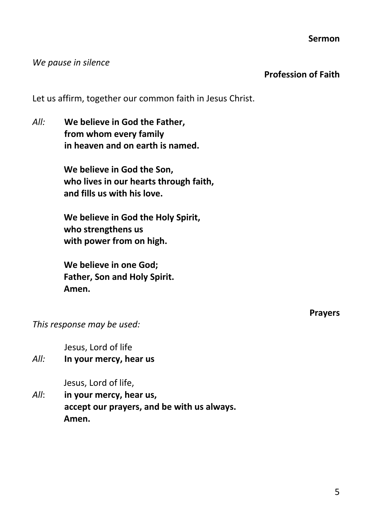#### **Sermon**

#### *We pause in silence*

#### **Profession of Faith**

Let us affirm, together our common faith in Jesus Christ.

*All:* **We believe in God the Father, from whom every family in heaven and on earth is named.**

> **We believe in God the Son, who lives in our hearts through faith, and fills us with his love.**

**We believe in God the Holy Spirit, who strengthens us with power from on high.**

**We believe in one God; Father, Son and Holy Spirit. Amen.**

**Prayers**

*This response may be used:*

Jesus, Lord of life

*All:* **In your mercy, hear us**

Jesus, Lord of life,

*All*: **in your mercy, hear us, accept our prayers, and be with us always. Amen.**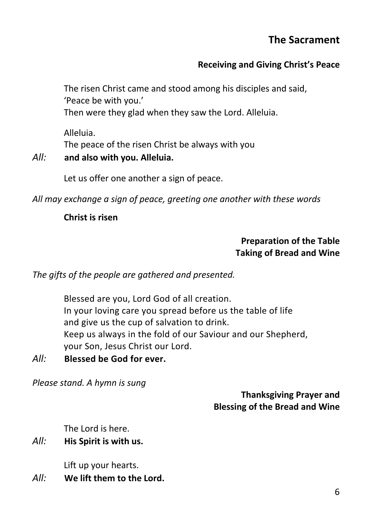# **The Sacrament**

# **Receiving and Giving Christ's Peace**

The risen Christ came and stood among his disciples and said, 'Peace be with you.' Then were they glad when they saw the Lord. Alleluia.

Alleluia. The peace of the risen Christ be always with you

#### *All:* **and also with you. Alleluia.**

Let us offer one another a sign of peace.

*All may exchange a sign of peace, greeting one another with these words*

### **Christ is risen**

#### **Preparation of the Table Taking of Bread and Wine**

*The gifts of the people are gathered and presented.*

Blessed are you, Lord God of all creation. In your loving care you spread before us the table of life and give us the cup of salvation to drink. Keep us always in the fold of our Saviour and our Shepherd, your Son, Jesus Christ our Lord.

*All:* **Blessed be God for ever.**

*Please stand. A hymn is sung*

## **Thanksgiving Prayer and Blessing of the Bread and Wine**

The Lord is here.

*All:* **His Spirit is with us.**

Lift up your hearts.

*All:* **We lift them to the Lord.**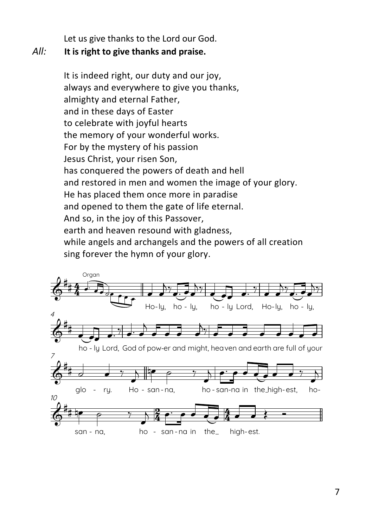Let us give thanks to the Lord our God.

#### *All:* **It is right to give thanks and praise.**

It is indeed right, our duty and our joy, always and everywhere to give you thanks, almighty and eternal Father, and in these days of Easter to celebrate with joyful hearts the memory of your wonderful works. For by the mystery of his passion Jesus Christ, your risen Son, has conquered the powers of death and hell and restored in men and women the image of your glory. He has placed them once more in paradise and opened to them the gate of life eternal. And so, in the joy of this Passover, earth and heaven resound with gladness, while angels and archangels and the powers of all creation sing forever the hymn of your glory.



7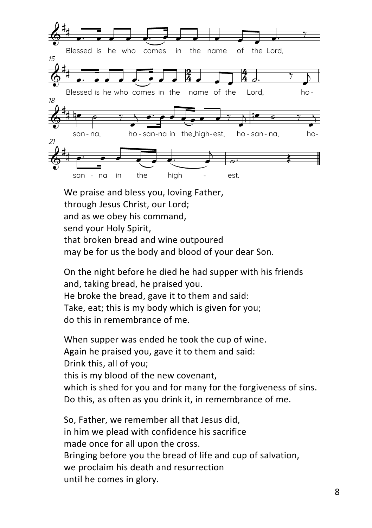

We praise and bless you, loving Father, through Jesus Christ, our Lord; and as we obey his command, send your Holy Spirit, that broken bread and wine outpoured may be for us the body and blood of your dear Son.

On the night before he died he had supper with his friends and, taking bread, he praised you. He broke the bread, gave it to them and said: Take, eat; this is my body which is given for you; do this in remembrance of me.

When supper was ended he took the cup of wine. Again he praised you, gave it to them and said: Drink this, all of you; this is my blood of the new covenant, which is shed for you and for many for the forgiveness of sins. Do this, as often as you drink it, in remembrance of me.

So, Father, we remember all that Jesus did, in him we plead with confidence his sacrifice made once for all upon the cross. Bringing before you the bread of life and cup of salvation, we proclaim his death and resurrection until he comes in glory.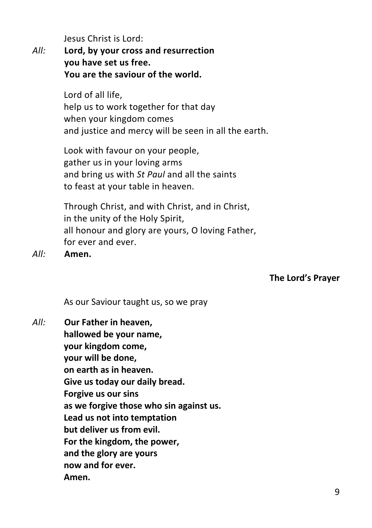Jesus Christ is Lord:

*All:* **Lord, by your cross and resurrection you have set us free. You are the saviour of the world.**

> Lord of all life, help us to work together for that day when your kingdom comes and justice and mercy will be seen in all the earth.

Look with favour on your people, gather us in your loving arms and bring us with *St Paul* and all the saints to feast at your table in heaven.

Through Christ, and with Christ, and in Christ, in the unity of the Holy Spirit, all honour and glory are yours, O loving Father, for ever and ever.

*All:* **Amen.**

**The Lord's Prayer**

As our Saviour taught us, so we pray

*All:* **Our Father in heaven, hallowed be your name, your kingdom come, your will be done, on earth as in heaven. Give us today our daily bread. Forgive us our sins as we forgive those who sin against us. Lead us not into temptation but deliver us from evil. For the kingdom, the power, and the glory are yours now and for ever. Amen.**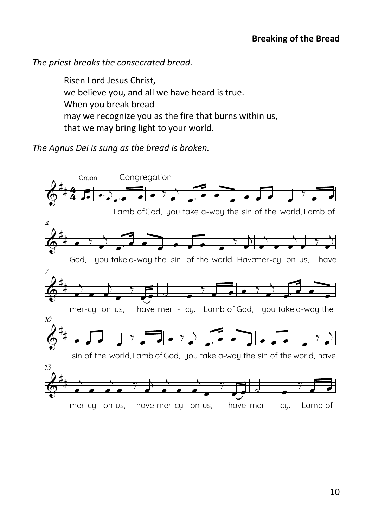*The priest breaks the consecrated bread.*

Risen Lord Jesus Christ, we believe you, and all we have heard is true. When you break bread may we recognize you as the fire that burns within us, that we may bring light to your world. **Agnus Dei (Lamb of God)**

*The Agnus Dei is sung as the bread is broken.*

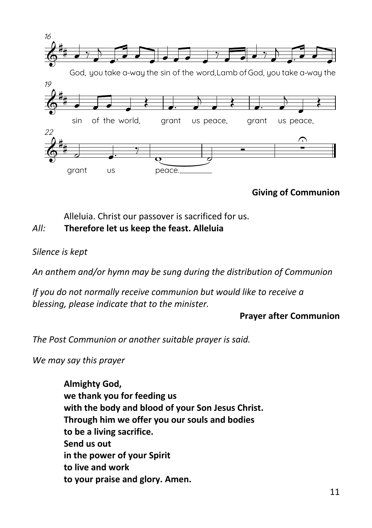

**Giving of Communion**

### Alleluia. Christ our passover is sacrificed for us.

#### *All:* **Therefore let us keep the feast. Alleluia**

#### *Silence is kept*

*An anthem and/or hymn may be sung during the distribution of Communion*

*If you do not normally receive communion but would like to receive a blessing, please indicate that to the minister.*

#### **Prayer after Communion**

*The Post Communion or another suitable prayer is said.*

*We may say this prayer*

**Almighty God, we thank you for feeding us with the body and blood of your Son Jesus Christ. Through him we offer you our souls and bodies to be a living sacrifice. Send us out in the power of your Spirit to live and work to your praise and glory. Amen.**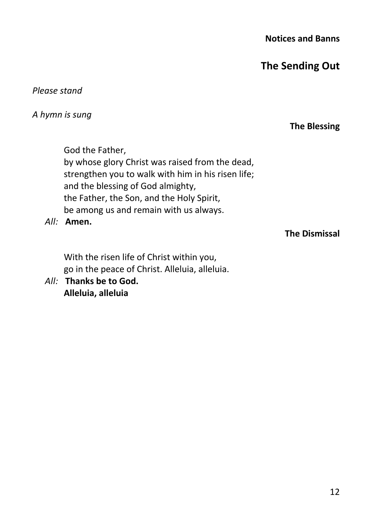**Notices and Banns** 

**The Sending Out**

*Please stand* 

*A hymn is sung*

### **The Blessing**

God the Father, by whose glory Christ was raised from the dead, strengthen you to walk with him in his risen life; and the blessing of God almighty, the Father, the Son, and the Holy Spirit, be among us and remain with us always.

*All:* **Amen.**

## **The Dismissal**

With the risen life of Christ within you, go in the peace of Christ. Alleluia, alleluia.

*All:* **Thanks be to God. Alleluia, alleluia**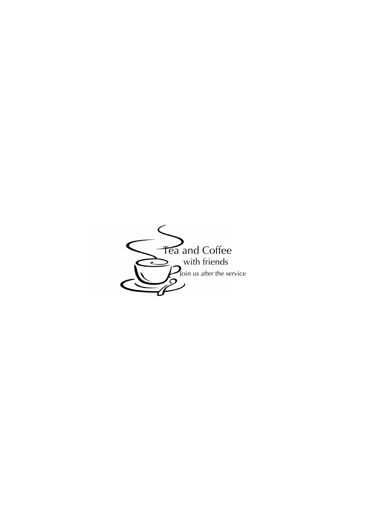